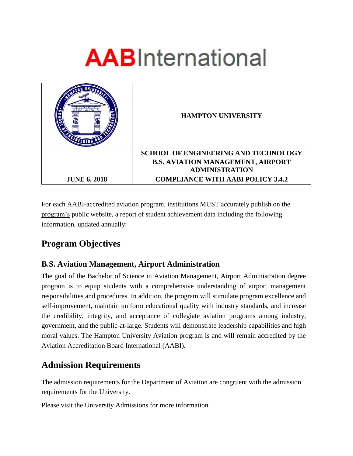# **AAB**International

| <b>UNIVERS</b>      | <b>HAMPTON UNIVERSITY</b>                   |
|---------------------|---------------------------------------------|
|                     | <b>SCHOOL OF ENGINEERING AND TECHNOLOGY</b> |
|                     | <b>B.S. AVIATION MANAGEMENT, AIRPORT</b>    |
|                     | <b>ADMINISTRATION</b>                       |
| <b>JUNE 6, 2018</b> | <b>COMPLIANCE WITH AABI POLICY 3.4.2</b>    |

For each AABI-accredited aviation program, institutions MUST accurately publish on the program's public website, a report of student achievement data including the following information, updated annually:

# **Program Objectives**

#### **B.S. Aviation Management, Airport Administration**

The goal of the Bachelor of Science in Aviation Management, Airport Administration degree program is to equip students with a comprehensive understanding of airport management responsibilities and procedures. In addition, the program will stimulate program excellence and self-improvement, maintain uniform educational quality with industry standards, and increase the credibility, integrity, and acceptance of collegiate aviation programs among industry, government, and the public-at-large. Students will demonstrate leadership capabilities and high moral values. The Hampton University Aviation program is and will remain accredited by the Aviation Accreditation Board International (AABI).

## **Admission Requirements**

The admission requirements for the Department of Aviation are congruent with the admission requirements for the University.

Please visit the University Admissions for more information.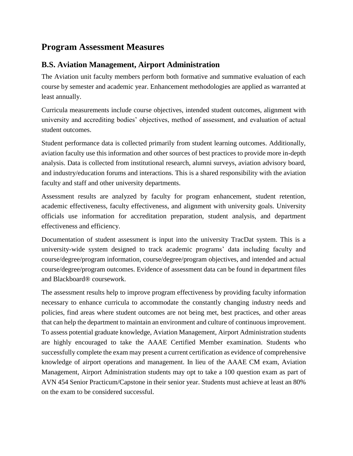## **Program Assessment Measures**

#### **B.S. Aviation Management, Airport Administration**

The Aviation unit faculty members perform both formative and summative evaluation of each course by semester and academic year. Enhancement methodologies are applied as warranted at least annually.

Curricula measurements include course objectives, intended student outcomes, alignment with university and accrediting bodies' objectives, method of assessment, and evaluation of actual student outcomes.

Student performance data is collected primarily from student learning outcomes. Additionally, aviation faculty use this information and other sources of best practices to provide more in-depth analysis. Data is collected from institutional research, alumni surveys, aviation advisory board, and industry/education forums and interactions. This is a shared responsibility with the aviation faculty and staff and other university departments.

Assessment results are analyzed by faculty for program enhancement, student retention, academic effectiveness, faculty effectiveness, and alignment with university goals. University officials use information for accreditation preparation, student analysis, and department effectiveness and efficiency.

Documentation of student assessment is input into the university TracDat system. This is a university-wide system designed to track academic programs' data including faculty and course/degree/program information, course/degree/program objectives, and intended and actual course/degree/program outcomes. Evidence of assessment data can be found in department files and Blackboard® coursework.

The assessment results help to improve program effectiveness by providing faculty information necessary to enhance curricula to accommodate the constantly changing industry needs and policies, find areas where student outcomes are not being met, best practices, and other areas that can help the department to maintain an environment and culture of continuous improvement. To assess potential graduate knowledge, Aviation Management, Airport Administration students are highly encouraged to take the AAAE Certified Member examination. Students who successfully complete the exam may present a current certification as evidence of comprehensive knowledge of airport operations and management. In lieu of the AAAE CM exam, Aviation Management, Airport Administration students may opt to take a 100 question exam as part of AVN 454 Senior Practicum/Capstone in their senior year. Students must achieve at least an 80% on the exam to be considered successful.